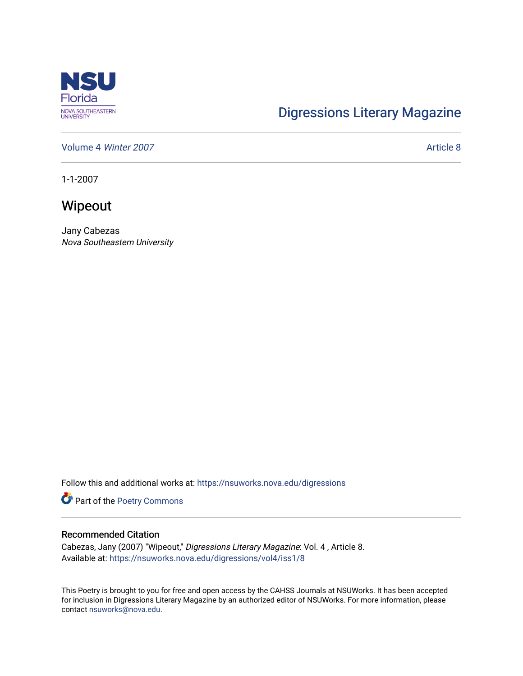

## [Digressions Literary Magazine](https://nsuworks.nova.edu/digressions)

[Volume 4](https://nsuworks.nova.edu/digressions/vol4) Winter 2007 **Article 8** Article 8

1-1-2007

Wipeout

Jany Cabezas Nova Southeastern University

Follow this and additional works at: [https://nsuworks.nova.edu/digressions](https://nsuworks.nova.edu/digressions?utm_source=nsuworks.nova.edu%2Fdigressions%2Fvol4%2Fiss1%2F8&utm_medium=PDF&utm_campaign=PDFCoverPages) 

Part of the [Poetry Commons](http://network.bepress.com/hgg/discipline/1153?utm_source=nsuworks.nova.edu%2Fdigressions%2Fvol4%2Fiss1%2F8&utm_medium=PDF&utm_campaign=PDFCoverPages) 

## Recommended Citation

Cabezas, Jany (2007) "Wipeout," Digressions Literary Magazine: Vol. 4 , Article 8. Available at: [https://nsuworks.nova.edu/digressions/vol4/iss1/8](https://nsuworks.nova.edu/digressions/vol4/iss1/8?utm_source=nsuworks.nova.edu%2Fdigressions%2Fvol4%2Fiss1%2F8&utm_medium=PDF&utm_campaign=PDFCoverPages) 

This Poetry is brought to you for free and open access by the CAHSS Journals at NSUWorks. It has been accepted for inclusion in Digressions Literary Magazine by an authorized editor of NSUWorks. For more information, please contact [nsuworks@nova.edu.](mailto:nsuworks@nova.edu)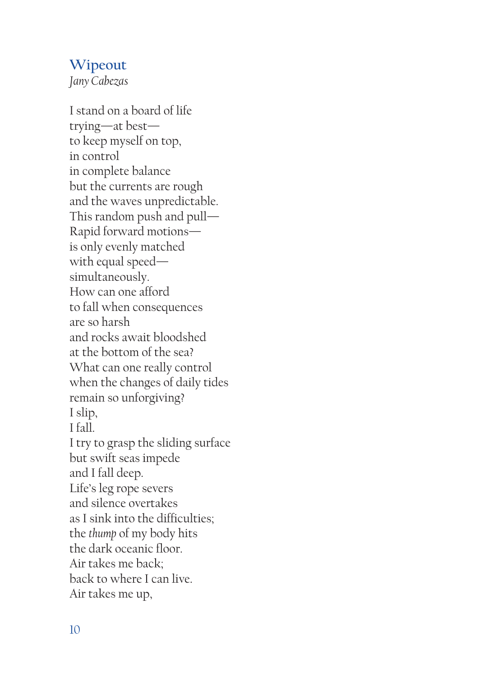## **Wipeout**

*Jany Cabezas*

I stand on a board of life trying—at best to keep myself on top, in control in complete balance but the currents are rough and the waves unpredictable. This random push and pull— Rapid forward motions is only evenly matched with equal speed simultaneously. How can one afford to fall when consequences are so harsh and rocks await bloodshed at the bottom of the sea? What can one really control when the changes of daily tides remain so unforgiving? I slip, I fall. I try to grasp the sliding surface but swift seas impede and I fall deep. Life's leg rope severs and silence overtakes as I sink into the difficulties; the *thump* of my body hits the dark oceanic floor. Air takes me back; back to where I can live. Air takes me up,